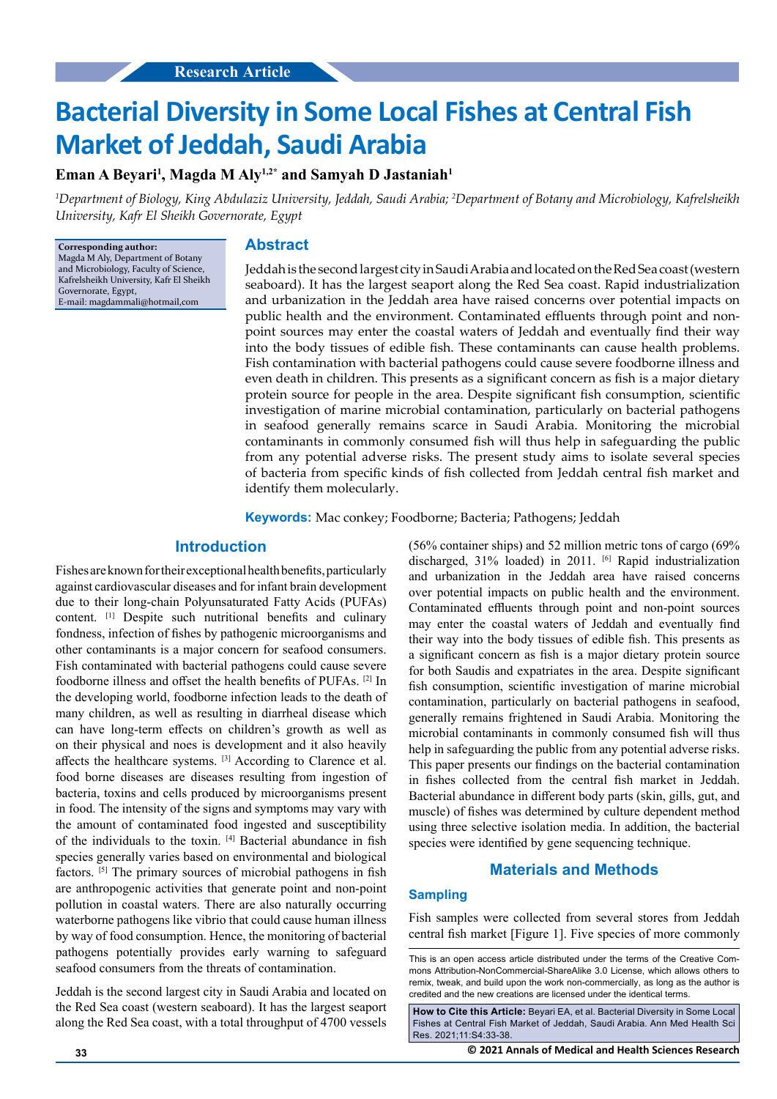# **Bacterial Diversity in Some Local Fishes at Central Fish Market of Jeddah, Saudi Arabia**

## **Eman A Beyari1 , Magda M Aly1,2\* and Samyah D Jastaniah1**

*1 Department of Biology, King Abdulaziz University, Jeddah, Saudi Arabia; 2 Department of Botany and Microbiology, Kafrelsheikh University, Kafr El Sheikh Governorate, Egypt*

**Corresponding author:** Magda M Aly, Department of Botany and Microbiology, Faculty of Science Kafrelsheikh University, Kafr El Sheikh Governorate, Egypt, E-mail: magdammali@hotmail,com

# **Abstract**

Jeddah is the second largest city in Saudi Arabia and located on the Red Sea coast (western seaboard). It has the largest seaport along the Red Sea coast. Rapid industrialization and urbanization in the Jeddah area have raised concerns over potential impacts on public health and the environment. Contaminated effluents through point and nonpoint sources may enter the coastal waters of Jeddah and eventually find their way into the body tissues of edible fish. These contaminants can cause health problems. Fish contamination with bacterial pathogens could cause severe foodborne illness and even death in children. This presents as a significant concern as fish is a major dietary protein source for people in the area. Despite significant fish consumption, scientific investigation of marine microbial contamination, particularly on bacterial pathogens in seafood generally remains scarce in Saudi Arabia. Monitoring the microbial contaminants in commonly consumed fish will thus help in safeguarding the public from any potential adverse risks. The present study aims to isolate several species of bacteria from specific kinds of fish collected from Jeddah central fish market and identify them molecularly.

**Keywords:** Mac conkey; Foodborne; Bacteria; Pathogens; Jeddah

## **Introduction**

Fishes are known for their exceptional health benefits, particularly against cardiovascular diseases and for infant brain development due to their long-chain Polyunsaturated Fatty Acids (PUFAs) content. [1] Despite such nutritional benefits and culinary fondness, infection of fishes by pathogenic microorganisms and other contaminants is a major concern for seafood consumers. Fish contaminated with bacterial pathogens could cause severe foodborne illness and offset the health benefits of PUFAs. [2] In the developing world, foodborne infection leads to the death of many children, as well as resulting in diarrheal disease which can have long-term effects on children's growth as well as on their physical and noes is development and it also heavily affects the healthcare systems. [3] According to Clarence et al. food borne diseases are diseases resulting from ingestion of bacteria, toxins and cells produced by microorganisms present in food. The intensity of the signs and symptoms may vary with the amount of contaminated food ingested and susceptibility of the individuals to the toxin. [4] Bacterial abundance in fish species generally varies based on environmental and biological factors. [5] The primary sources of microbial pathogens in fish are anthropogenic activities that generate point and non-point pollution in coastal waters. There are also naturally occurring waterborne pathogens like vibrio that could cause human illness by way of food consumption. Hence, the monitoring of bacterial pathogens potentially provides early warning to safeguard seafood consumers from the threats of contamination.

Jeddah is the second largest city in Saudi Arabia and located on the Red Sea coast (western seaboard). It has the largest seaport along the Red Sea coast, with a total throughput of 4700 vessels

(56% container ships) and 52 million metric tons of cargo (69% discharged, 31% loaded) in 2011. <sup>[6]</sup> Rapid industrialization and urbanization in the Jeddah area have raised concerns over potential impacts on public health and the environment. Contaminated effluents through point and non-point sources may enter the coastal waters of Jeddah and eventually find their way into the body tissues of edible fish. This presents as a significant concern as fish is a major dietary protein source for both Saudis and expatriates in the area. Despite significant fish consumption, scientific investigation of marine microbial contamination, particularly on bacterial pathogens in seafood, generally remains frightened in Saudi Arabia. Monitoring the microbial contaminants in commonly consumed fish will thus help in safeguarding the public from any potential adverse risks. This paper presents our findings on the bacterial contamination in fishes collected from the central fish market in Jeddah. Bacterial abundance in different body parts (skin, gills, gut, and muscle) of fishes was determined by culture dependent method using three selective isolation media. In addition, the bacterial species were identified by gene sequencing technique.

## **Materials and Methods**

## **Sampling**

Fish samples were collected from several stores from Jeddah central fish market [Figure 1]. Five species of more commonly

**How to Cite this Article:** Beyari EA, et al. Bacterial Diversity in Some Local Fishes at Central Fish Market of Jeddah, Saudi Arabia. Ann Med Health Sci Res. 2021;11:S4:33-38.

**33 © 2021 Annals of Medical and Health Sciences Research** 

This is an open access article distributed under the terms of the Creative Commons Attribution-NonCommercial-ShareAlike 3.0 License, which allows others to remix, tweak, and build upon the work non‑commercially, as long as the author is credited and the new creations are licensed under the identical terms.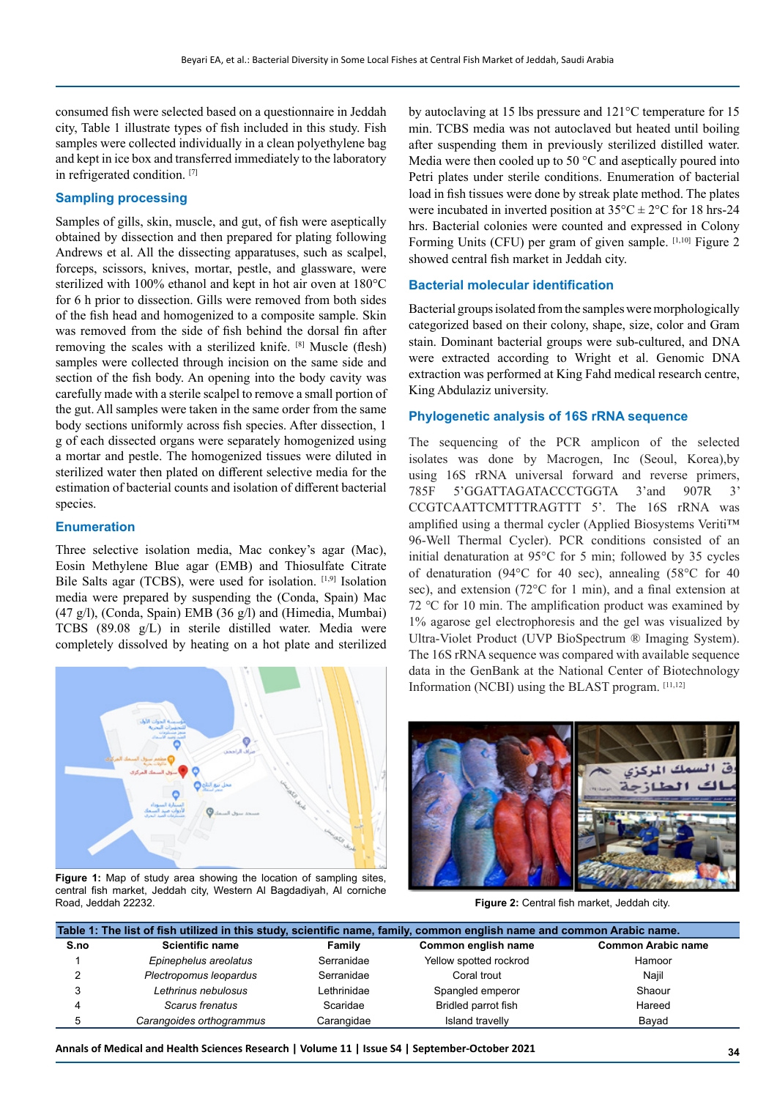consumed fish were selected based on a questionnaire in Jeddah city, Table 1 illustrate types of fish included in this study. Fish samples were collected individually in a clean polyethylene bag and kept in ice box and transferred immediately to the laboratory in refrigerated condition. [7]

## **Sampling processing**

Samples of gills, skin, muscle, and gut, of fish were aseptically obtained by dissection and then prepared for plating following Andrews et al. All the dissecting apparatuses, such as scalpel, forceps, scissors, knives, mortar, pestle, and glassware, were sterilized with 100% ethanol and kept in hot air oven at 180°C for 6 h prior to dissection. Gills were removed from both sides of the fish head and homogenized to a composite sample. Skin was removed from the side of fish behind the dorsal fin after removing the scales with a sterilized knife. [8] Muscle (flesh) samples were collected through incision on the same side and section of the fish body. An opening into the body cavity was carefully made with a sterile scalpel to remove a small portion of the gut. All samples were taken in the same order from the same body sections uniformly across fish species. After dissection, 1 g of each dissected organs were separately homogenized using a mortar and pestle. The homogenized tissues were diluted in sterilized water then plated on different selective media for the estimation of bacterial counts and isolation of different bacterial species.

#### **Enumeration**

Three selective isolation media, Mac conkey's agar (Mac), Eosin Methylene Blue agar (EMB) and Thiosulfate Citrate Bile Salts agar (TCBS), were used for isolation. [1,9] Isolation media were prepared by suspending the (Conda, Spain) Mac (47 g/l), (Conda, Spain) EMB (36 g/l) and (Himedia, Mumbai) TCBS (89.08 g/L) in sterile distilled water. Media were completely dissolved by heating on a hot plate and sterilized



**Figure 1:** Map of study area showing the location of sampling sites, central fish market, Jeddah city, Western Al Bagdadiyah, Al corniche Road, Jeddah 22232.

by autoclaving at 15 lbs pressure and 121°C temperature for 15 min. TCBS media was not autoclaved but heated until boiling after suspending them in previously sterilized distilled water. Media were then cooled up to 50 $\degree$ C and aseptically poured into Petri plates under sterile conditions. Enumeration of bacterial load in fish tissues were done by streak plate method. The plates were incubated in inverted position at  $35^{\circ}$ C  $\pm$  2°C for 18 hrs-24 hrs. Bacterial colonies were counted and expressed in Colony Forming Units (CFU) per gram of given sample. [1,10] Figure 2 showed central fish market in Jeddah city.

#### **Bacterial molecular identification**

Bacterial groups isolated from the samples were morphologically categorized based on their colony, shape, size, color and Gram stain. Dominant bacterial groups were sub-cultured, and DNA were extracted according to Wright et al. Genomic DNA extraction was performed at King Fahd medical research centre, King Abdulaziz university.

#### **Phylogenetic analysis of 16S rRNA sequence**

The sequencing of the PCR amplicon of the selected isolates was done by Macrogen, Inc (Seoul, Korea),by using 16S rRNA universal forward and reverse primers, 785F 5'GGATTAGATACCCTGGTA 3'and 907R 3' CCGTCAATTCMTTTRAGTTT 5'. The 16S rRNA was amplified using a thermal cycler (Applied Biosystems Veriti™ 96-Well Thermal Cycler). PCR conditions consisted of an initial denaturation at 95°C for 5 min; followed by 35 cycles of denaturation (94°C for 40 sec), annealing (58°C for 40 sec), and extension (72°C for 1 min), and a final extension at 72 ℃ for 10 min. The amplification product was examined by 1% agarose gel electrophoresis and the gel was visualized by Ultra-Violet Product (UVP BioSpectrum ® Imaging System). The 16S rRNA sequence was compared with available sequence data in the GenBank at the National Center of Biotechnology Information (NCBI) using the BLAST program. [11,12]



**Figure 2:** Central fish market, Jeddah city.

| Table 1: The list of fish utilized in this study, scientific name, family, common english name and common Arabic name. |                          |             |                        |                           |  |
|------------------------------------------------------------------------------------------------------------------------|--------------------------|-------------|------------------------|---------------------------|--|
| S.no                                                                                                                   | <b>Scientific name</b>   | Family      | Common english name    | <b>Common Arabic name</b> |  |
|                                                                                                                        | Epinephelus areolatus    | Serranidae  | Yellow spotted rockrod | Hamoor                    |  |
|                                                                                                                        | Plectropomus leopardus   | Serranidae  | Coral trout            | Najil                     |  |
|                                                                                                                        | Lethrinus nebulosus      | Lethrinidae | Spangled emperor       | Shaour                    |  |
|                                                                                                                        | Scarus frenatus          | Scaridae    | Bridled parrot fish    | Hareed                    |  |
| 5                                                                                                                      | Carangoides orthogrammus | Carangidae  | Island travelly        | Bayad                     |  |

**Annals of Medical and Health Sciences Research | Volume 11 | Issue S4 | September-October 2021 34**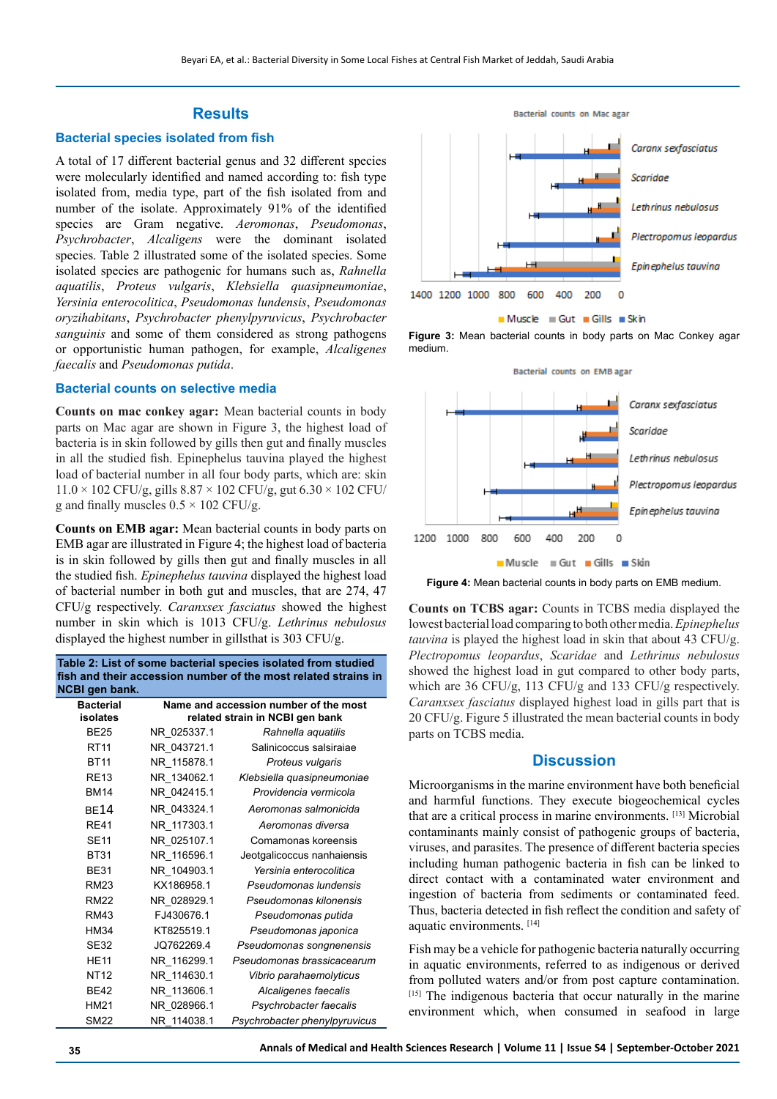## **Results**

#### **Bacterial species isolated from fish**

A total of 17 different bacterial genus and 32 different species were molecularly identified and named according to: fish type isolated from, media type, part of the fish isolated from and number of the isolate. Approximately 91% of the identified species are Gram negative. *Aeromonas*, *Pseudomonas*, *Psychrobacter*, *Alcaligens* were the dominant isolated species. Table 2 illustrated some of the isolated species. Some isolated species are pathogenic for humans such as, *Rahnella aquatilis*, *Proteus vulgaris*, *Klebsiella quasipneumoniae*, *Yersinia enterocolitica*, *Pseudomonas lundensis*, *Pseudomonas oryzihabitans*, *Psychrobacter phenylpyruvicus*, *Psychrobacter sanguinis* and some of them considered as strong pathogens or opportunistic human pathogen, for example, *Alcaligenes faecalis* and *Pseudomonas putida*.

#### **Bacterial counts on selective media**

**Counts on mac conkey agar:** Mean bacterial counts in body parts on Mac agar are shown in Figure 3, the highest load of bacteria is in skin followed by gills then gut and finally muscles in all the studied fish. Epinephelus tauvina played the highest load of bacterial number in all four body parts, which are: skin  $11.0 \times 102$  CFU/g, gills  $8.87 \times 102$  CFU/g, gut  $6.30 \times 102$  CFU/ g and finally muscles  $0.5 \times 102$  CFU/g.

**Counts on EMB agar:** Mean bacterial counts in body parts on EMB agar are illustrated in Figure 4; the highest load of bacteria is in skin followed by gills then gut and finally muscles in all the studied fish. *Epinephelus tauvina* displayed the highest load of bacterial number in both gut and muscles, that are 274, 47 CFU/g respectively. *Caranxsex fasciatus* showed the highest number in skin which is 1013 CFU/g. *Lethrinus nebulosus* displayed the highest number in gillsthat is 303 CFU/g.

**Table 2: List of some bacterial species isolated from studied fish and their accession number of the most related strains in NCBI gen bank. Name and accession number of the most** 

| Bacterial   | Name and accession number of the most |                               |  |  |
|-------------|---------------------------------------|-------------------------------|--|--|
| isolates    | related strain in NCBI gen bank       |                               |  |  |
| <b>BE25</b> | NR 025337.1                           | Rahnella aquatilis            |  |  |
| <b>RT11</b> | NR 043721.1                           | Salinicoccus salsiraiae       |  |  |
| <b>BT11</b> | NR 115878.1                           | Proteus vulgaris              |  |  |
| <b>RE13</b> | NR 134062.1                           | Klebsiella quasipneumoniae    |  |  |
| <b>BM14</b> | NR 042415.1                           | Providencia vermicola         |  |  |
| <b>BE14</b> | NR 043324.1                           | Aeromonas salmonicida         |  |  |
| <b>RF41</b> | NR 117303.1                           | Aeromonas diversa             |  |  |
| <b>SE11</b> | NR 025107.1                           | Comamonas koreensis           |  |  |
| <b>BT31</b> | NR 116596.1                           | Jeotgalicoccus nanhaiensis    |  |  |
| <b>BE31</b> | NR 104903.1                           | Yersinia enterocolitica       |  |  |
| <b>RM23</b> | KX186958.1                            | Pseudomonas lundensis         |  |  |
| <b>RM22</b> | NR 028929.1                           | Pseudomonas kilonensis        |  |  |
| <b>RM43</b> | FJ430676.1                            | Pseudomonas putida            |  |  |
| <b>HM34</b> | KT825519.1                            | Pseudomonas japonica          |  |  |
| <b>SE32</b> | JQ762269.4                            | Pseudomonas songnenensis      |  |  |
| <b>HE11</b> | NR 116299.1                           | Pseudomonas brassicacearum    |  |  |
| <b>NT12</b> | NR 114630.1                           | Vibrio parahaemolyticus       |  |  |
| <b>BE42</b> | NR 113606.1                           | Alcaligenes faecalis          |  |  |
| <b>HM21</b> | NR 028966.1                           | Psychrobacter faecalis        |  |  |
| <b>SM22</b> | NR 114038.1                           | Psychrobacter phenylpyruvicus |  |  |



**Figure 3:** Mean bacterial counts in body parts on Mac Conkey agar medium.



**Figure 4:** Mean bacterial counts in body parts on EMB medium.

**Counts on TCBS agar:** Counts in TCBS media displayed the lowest bacterial load comparing to both other media. *Epinephelus tauvina* is played the highest load in skin that about 43 CFU/g. *Plectropomus leopardus*, *Scaridae* and *Lethrinus nebulosus* showed the highest load in gut compared to other body parts, which are 36 CFU/g, 113 CFU/g and 133 CFU/g respectively. *Caranxsex fasciatus* displayed highest load in gills part that is 20 CFU/g. Figure 5 illustrated the mean bacterial counts in body parts on TCBS media.

#### **Discussion**

Microorganisms in the marine environment have both beneficial and harmful functions. They execute biogeochemical cycles that are a critical process in marine environments. [13] Microbial contaminants mainly consist of pathogenic groups of bacteria, viruses, and parasites. The presence of different bacteria species including human pathogenic bacteria in fish can be linked to direct contact with a contaminated water environment and ingestion of bacteria from sediments or contaminated feed. Thus, bacteria detected in fish reflect the condition and safety of aquatic environments. [14]

Fish may be a vehicle for pathogenic bacteria naturally occurring in aquatic environments, referred to as indigenous or derived from polluted waters and/or from post capture contamination. [15] The indigenous bacteria that occur naturally in the marine environment which, when consumed in seafood in large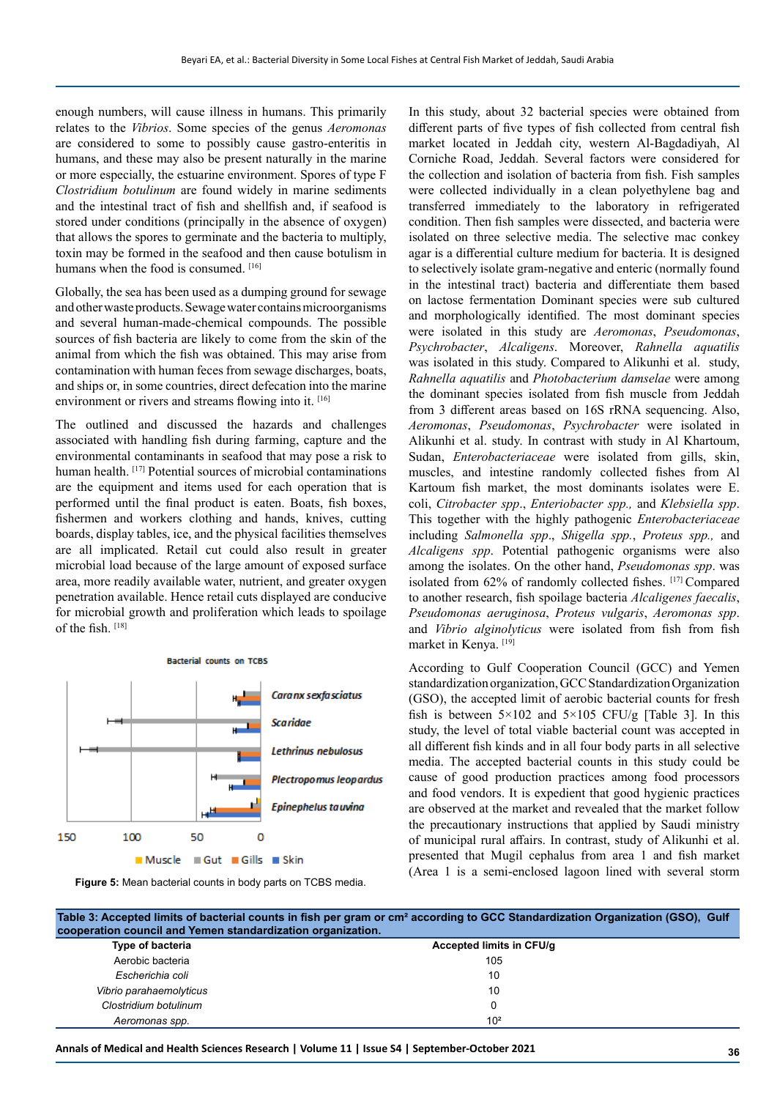enough numbers, will cause illness in humans. This primarily relates to the *Vibrios*. Some species of the genus *Aeromonas* are considered to some to possibly cause gastro-enteritis in humans, and these may also be present naturally in the marine or more especially, the estuarine environment. Spores of type F *Clostridium botulinum* are found widely in marine sediments and the intestinal tract of fish and shellfish and, if seafood is stored under conditions (principally in the absence of oxygen) that allows the spores to germinate and the bacteria to multiply, toxin may be formed in the seafood and then cause botulism in humans when the food is consumed. [16]

Globally, the sea has been used as a dumping ground for sewage and other waste products. Sewage water contains microorganisms and several human-made-chemical compounds. The possible sources of fish bacteria are likely to come from the skin of the animal from which the fish was obtained. This may arise from contamination with human feces from sewage discharges, boats, and ships or, in some countries, direct defecation into the marine environment or rivers and streams flowing into it. [16]

The outlined and discussed the hazards and challenges associated with handling fish during farming, capture and the environmental contaminants in seafood that may pose a risk to human health. [17] Potential sources of microbial contaminations are the equipment and items used for each operation that is performed until the final product is eaten. Boats, fish boxes, fishermen and workers clothing and hands, knives, cutting boards, display tables, ice, and the physical facilities themselves are all implicated. Retail cut could also result in greater microbial load because of the large amount of exposed surface area, more readily available water, nutrient, and greater oxygen penetration available. Hence retail cuts displayed are conducive for microbial growth and proliferation which leads to spoilage of the fish. [18]



**Figure 5:** Mean bacterial counts in body parts on TCBS media.

In this study, about 32 bacterial species were obtained from different parts of five types of fish collected from central fish market located in Jeddah city, western Al-Bagdadiyah, Al Corniche Road, Jeddah. Several factors were considered for the collection and isolation of bacteria from fish. Fish samples were collected individually in a clean polyethylene bag and transferred immediately to the laboratory in refrigerated condition. Then fish samples were dissected, and bacteria were isolated on three selective media. The selective mac conkey agar is a differential culture medium for bacteria. It is designed to selectively isolate gram-negative and enteric (normally found in the intestinal tract) bacteria and differentiate them based on lactose fermentation Dominant species were sub cultured and morphologically identified. The most dominant species were isolated in this study are *Aeromonas*, *Pseudomonas*, *Psychrobacter*, *Alcaligens*. Moreover, *Rahnella aquatilis* was isolated in this study. Compared to Alikunhi et al. study, *Rahnella aquatilis* and *Photobacterium damselae* were among the dominant species isolated from fish muscle from Jeddah from 3 different areas based on 16S rRNA sequencing. Also, *Aeromonas*, *Pseudomonas*, *Psychrobacter* were isolated in Alikunhi et al. study. In contrast with study in Al Khartoum, Sudan, *Enterobacteriaceae* were isolated from gills, skin, muscles, and intestine randomly collected fishes from Al Kartoum fish market, the most dominants isolates were E. coli, *Citrobacter spp*., *Enteriobacter spp.,* and *Klebsiella spp*. This together with the highly pathogenic *Enterobacteriaceae* including *Salmonella spp*., *Shigella spp.*, *Proteus spp.,* and *Alcaligens spp*. Potential pathogenic organisms were also among the isolates. On the other hand, *Pseudomonas spp*. was isolated from 62% of randomly collected fishes. [17] Compared to another research, fish spoilage bacteria *Alcaligenes faecalis*, *Pseudomonas aeruginosa*, *Proteus vulgaris*, *Aeromonas spp*. and *Vibrio alginolyticus* were isolated from fish from fish market in Kenya. [19]

According to Gulf Cooperation Council (GCC) and Yemen standardization organization, GCC Standardization Organization (GSO), the accepted limit of aerobic bacterial counts for fresh fish is between  $5 \times 102$  and  $5 \times 105$  CFU/g [Table 3]. In this study, the level of total viable bacterial count was accepted in all different fish kinds and in all four body parts in all selective media. The accepted bacterial counts in this study could be cause of good production practices among food processors and food vendors. It is expedient that good hygienic practices are observed at the market and revealed that the market follow the precautionary instructions that applied by Saudi ministry of municipal rural affairs. In contrast, study of Alikunhi et al. presented that Mugil cephalus from area 1 and fish market (Area 1 is a semi-enclosed lagoon lined with several storm

| Table 3: Accepted limits of bacterial counts in fish per gram or cm <sup>2</sup> according to GCC Standardization Organization (GSO), Gulf<br>cooperation council and Yemen standardization organization. |                          |  |  |  |
|-----------------------------------------------------------------------------------------------------------------------------------------------------------------------------------------------------------|--------------------------|--|--|--|
| Type of bacteria                                                                                                                                                                                          | Accepted limits in CFU/g |  |  |  |
| Aerobic bacteria                                                                                                                                                                                          | 105                      |  |  |  |
| Escherichia coli                                                                                                                                                                                          | 10                       |  |  |  |
| Vibrio parahaemolyticus                                                                                                                                                                                   | 10                       |  |  |  |
| Clostridium botulinum                                                                                                                                                                                     |                          |  |  |  |
| Aeromonas spp.                                                                                                                                                                                            | 10 <sup>2</sup>          |  |  |  |

**Annals of Medical and Health Sciences Research | Volume 11 | Issue S4 | September-October 2021 36**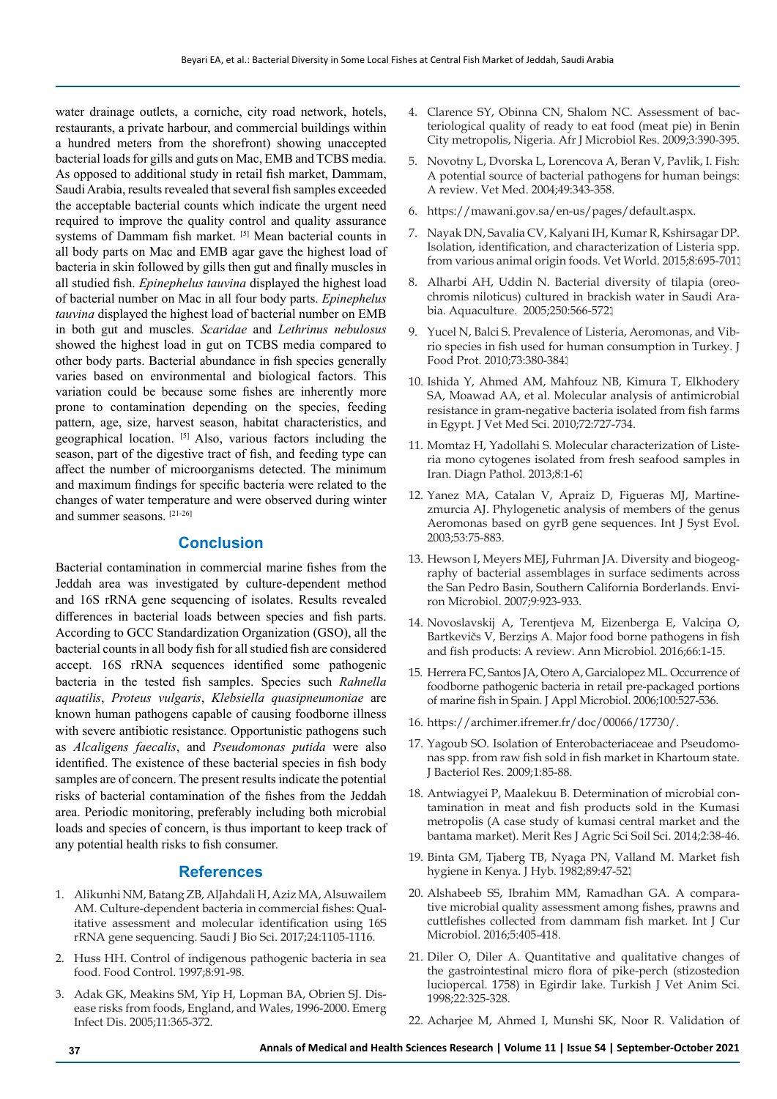water drainage outlets, a corniche, city road network, hotels, restaurants, a private harbour, and commercial buildings within a hundred meters from the shorefront) showing unaccepted bacterial loads for gills and guts on Mac, EMB and TCBS media. As opposed to additional study in retail fish market, Dammam, Saudi Arabia, results revealed that several fish samples exceeded the acceptable bacterial counts which indicate the urgent need required to improve the quality control and quality assurance systems of Dammam fish market. [5] Mean bacterial counts in all body parts on Mac and EMB agar gave the highest load of bacteria in skin followed by gills then gut and finally muscles in all studied fish. *Epinephelus tauvina* displayed the highest load of bacterial number on Mac in all four body parts. *Epinephelus tauvina* displayed the highest load of bacterial number on EMB in both gut and muscles. *Scaridae* and *Lethrinus nebulosus* showed the highest load in gut on TCBS media compared to other body parts. Bacterial abundance in fish species generally varies based on environmental and biological factors. This variation could be because some fishes are inherently more prone to contamination depending on the species, feeding pattern, age, size, harvest season, habitat characteristics, and geographical location. [5] Also, various factors including the season, part of the digestive tract of fish, and feeding type can affect the number of microorganisms detected. The minimum and maximum findings for specific bacteria were related to the changes of water temperature and were observed during winter and summer seasons. [21-26]

# **Conclusion**

Bacterial contamination in commercial marine fishes from the Jeddah area was investigated by culture-dependent method and 16S rRNA gene sequencing of isolates. Results revealed differences in bacterial loads between species and fish parts. According to GCC Standardization Organization (GSO), all the bacterial counts in all body fish for all studied fish are considered accept. 16S rRNA sequences identified some pathogenic bacteria in the tested fish samples. Species such *Rahnella aquatilis*, *[Proteus vulgaris](https://www.ncbi.nlm.nih.gov/Taxonomy/Browser/wwwtax.cgi?id=585)*, *Klebsiella quasipneumoniae* are known human pathogens capable of causing foodborne illness with severe antibiotic resistance. Opportunistic pathogens such as *Alcaligens faecalis*, and *Pseudomonas putida* were also identified. The existence of these bacterial species in fish body samples are of concern. The present results indicate the potential risks of bacterial contamination of the fishes from the Jeddah area. Periodic monitoring, preferably including both microbial loads and species of concern, is thus important to keep track of any potential health risks to fish consumer.

### **References**

- 1. Alikunhi NM, Batang ZB, AlJahdali H, Aziz MA, Alsuwailem AM. Culture-dependent bacteria in commercial fishes: Qualitative assessment and molecular identification using 16S rRNA gene sequencing. Saudi J Bio Sci. 2017;24:1105-1116.
- 2. Huss HH. Control of indigenous pathogenic bacteria in sea food. Food Control. 1997;8:91-98.
- 3. Adak GK, Meakins SM, Yip H, Lopman BA, Obrien SJ. Disease risks from foods, England, and Wales, 1996-2000. Emerg Infect Dis. 2005;11:365-372.
- 4. Clarence SY, Obinna CN, Shalom NC. Assessment of bacteriological quality of ready to eat food (meat pie) in Benin City metropolis, Nigeria. Afr J Microbiol Res. 2009;3:390-395.
- 5. Novotny L, Dvorska L, Lorencova A, Beran V, Pavlik, I. Fish: A potential source of bacterial pathogens for human beings: A review. Vet Med. 2004;49:343-358.
- 6. https://mawani.gov.sa/en-us/pages/default.aspx.
- 7. Nayak DN, Savalia CV, Kalyani IH, Kumar R, Kshirsagar DP. Isolation, identification, and characterization of Listeria spp. from various animal origin foods. Vet World. 2015;8:695-701.
- 8. Alharbi AH, Uddin N. Bacterial diversity of tilapia (oreochromis niloticus) cultured in brackish water in Saudi Arabia. Aquaculture. 2005;250:566-572.
- 9. Yucel N, Balci S. Prevalence of Listeria, Aeromonas, and Vibrio species in fish used for human consumption in Turkey. J Food Prot. 2010;73:380-384.
- 10. Ishida Y, Ahmed AM, Mahfouz NB, Kimura T, Elkhodery SA, Moawad AA, et al. Molecular analysis of antimicrobial resistance in gram-negative bacteria isolated from fish farms in Egypt. J Vet Med Sci. 2010;72:727-734.
- 11. Momtaz H, Yadollahi S. Molecular characterization of Listeria mono cytogenes isolated from fresh seafood samples in Iran. Diagn Pathol. 2013;8:1-6.
- 12. Yanez MA, Catalan V, Apraiz D, Figueras MJ, Martinezmurcia AJ. Phylogenetic analysis of members of the genus Aeromonas based on gyrB gene sequences. Int J Syst Evol. 2003;53:75-883.
- 13. Hewson I, Meyers MEJ, Fuhrman JA. Diversity and biogeography of bacterial assemblages in surface sediments across the San Pedro Basin, Southern California Borderlands. Environ Microbiol. 2007;9:923-933.
- 14. Novoslavskij A, Terentjeva M, Eizenberga E, Valciņa O, Bartkevičs V, Berziņs A. Major food borne pathogens in fish and fish products: A review. Ann Microbiol. 2016;66:1-15.
- 15. Herrera FC, Santos JA, Otero A, Garcialopez ML. Occurrence of foodborne pathogenic bacteria in retail pre-packaged portions of marine fish in Spain. J Appl Microbiol. 2006;100:527-536.
- 16. https://archimer.ifremer.fr/doc/00066/17730/.
- 17. Yagoub SO. Isolation of Enterobacteriaceae and Pseudomonas spp. from raw fish sold in fish market in Khartoum state. J Bacteriol Res. 2009;1:85-88.
- 18. Antwiagyei P, Maalekuu B. Determination of microbial contamination in meat and fish products sold in the Kumasi metropolis (A case study of kumasi central market and the bantama market). Merit Res J Agric Sci Soil Sci. 2014;2:38-46.
- 19. Binta GM, Tjaberg TB, Nyaga PN, Valland M. Market fish hygiene in Kenya. J Hyb. 1982;89:47-52.
- 20. Alshabeeb SS, Ibrahim MM, Ramadhan GA. A comparative microbial quality assessment among fishes, prawns and cuttlefishes collected from dammam fish market. Int J Cur Microbiol. 2016;5:405-418.
- 21. Diler O, Diler A. Quantitative and qualitative changes of the gastrointestinal micro flora of pike-perch (stizostedion luciopercal. 1758) in Egirdir lake. Turkish J Vet Anim Sci. 1998;22:325-328.
- 22. Acharjee M, Ahmed I, Munshi SK, Noor R. Validation of